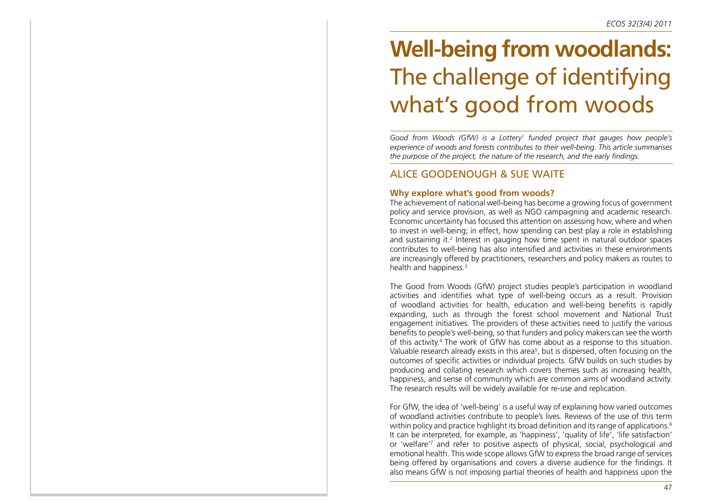# **Well-being from woodlands:**  The challenge of identifying what's good from woods

*Good from Woods (GfW) is a Lottery1 funded project that gauges how people's experience of woods and forests contributes to their well-being. This article summarises the purpose of the project, the nature of the research, and the early findings.*

# ALICE GOODENOUGH & SUE WAITE

## **Why explore what's good from woods?**

The achievement of national well-being has become a growing focus of government policy and service provision, as well as NGO campaigning and academic research. Economic uncertainty has focused this attention on assessing how, where and when to invest in well-being; in effect, how spending can best play a role in establishing and sustaining it.<sup>2</sup> Interest in gauging how time spent in natural outdoor spaces contributes to well-being has also intensified and activities in these environments are increasingly offered by practitioners, researchers and policy makers as routes to health and happiness.<sup>3</sup>

The Good from Woods (GfW) project studies people's participation in woodland activities and identifies what type of well-being occurs as a result. Provision of woodland activities for health, education and well-being benefits is rapidly expanding, such as through the forest school movement and National Trust engagement initiatives. The providers of these activities need to justify the various benefits to people's well-being, so that funders and policy makers can see the worth of this activity.4 The work of GfW has come about as a response to this situation. Valuable research already exists in this area<sup>5</sup>, but is dispersed, often focusing on the outcomes of specific activities or individual projects. GfW builds on such studies by producing and collating research which covers themes such as increasing health, happiness, and sense of community which are common aims of woodland activity. The research results will be widely available for re-use and replication.

For GfW, the idea of 'well-being' is a useful way of explaining how varied outcomes of woodland activities contribute to people's lives. Reviews of the use of this term within policy and practice highlight its broad definition and its range of applications.<sup>6</sup> It can be interpreted, for example, as 'happiness', 'quality of life', 'life satisfaction' or 'welfare'7 and refer to positive aspects of physical, social, psychological and emotional health. This wide scope allows GfW to express the broad range of services being offered by organisations and covers a diverse audience for the findings. It also means GfW is not imposing partial theories of health and happiness upon the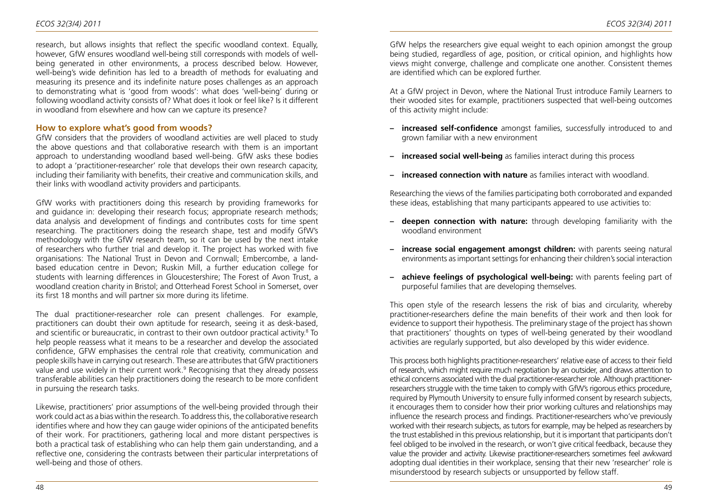research, but allows insights that reflect the specific woodland context. Equally, however, GfW ensures woodland well-being still corresponds with models of wellbeing generated in other environments, a process described below. However, well-being's wide definition has led to a breadth of methods for evaluating and measuring its presence and its indefinite nature poses challenges as an approach to demonstrating what is 'good from woods': what does 'well-being' during or following woodland activity consists of? What does it look or feel like? Is it different in woodland from elsewhere and how can we capture its presence?

## **How to explore what's good from woods?**

GfW considers that the providers of woodland activities are well placed to study the above questions and that collaborative research with them is an important approach to understanding woodland based well-being. GfW asks these bodies to adopt a 'practitioner-researcher' role that develops their own research capacity, including their familiarity with benefits, their creative and communication skills, and their links with woodland activity providers and participants.

GfW works with practitioners doing this research by providing frameworks for and guidance in: developing their research focus; appropriate research methods; data analysis and development of findings and contributes costs for time spent researching. The practitioners doing the research shape, test and modify GfW's methodology with the GfW research team, so it can be used by the next intake of researchers who further trial and develop it. The project has worked with five organisations: The National Trust in Devon and Cornwall; Embercombe, a landbased education centre in Devon; Ruskin Mill, a further education college for students with learning differences in Gloucestershire; The Forest of Avon Trust, a woodland creation charity in Bristol; and Otterhead Forest School in Somerset, over its first 18 months and will partner six more during its lifetime.

The dual practitioner-researcher role can present challenges. For example, practitioners can doubt their own aptitude for research, seeing it as desk-based, and scientific or bureaucratic, in contrast to their own outdoor practical activity.<sup>8</sup> To help people reassess what it means to be a researcher and develop the associated confidence, GFW emphasises the central role that creativity, communication and people skills have in carrying out research. These are attributes that GfW practitioners value and use widely in their current work.<sup>9</sup> Recognising that they already possess transferable abilities can help practitioners doing the research to be more confident in pursuing the research tasks.

Likewise, practitioners' prior assumptions of the well-being provided through their work could act as a bias within the research. To address this, the collaborative research identifies where and how they can gauge wider opinions of the anticipated benefits of their work. For practitioners, gathering local and more distant perspectives is both a practical task of establishing who can help them gain understanding, and a reflective one, considering the contrasts between their particular interpretations of well-being and those of others.

GfW helps the researchers give equal weight to each opinion amongst the group being studied, regardless of age, position, or critical opinion, and highlights how views might converge, challenge and complicate one another. Consistent themes are identified which can be explored further.

At a GfW project in Devon, where the National Trust introduce Family Learners to their wooded sites for example, practitioners suspected that well-being outcomes of this activity might include:

- **– increased self-confidence** amongst families, successfully introduced to and grown familiar with a new environment
- **– increased social well-being** as families interact during this process
- **– increased connection with nature** as families interact with woodland.

Researching the views of the families participating both corroborated and expanded these ideas, establishing that many participants appeared to use activities to:

- **– deepen connection with nature:** through developing familiarity with the woodland environment
- **– increase social engagement amongst children:** with parents seeing natural environments as important settings for enhancing their children's social interaction
- **– achieve feelings of psychological well-being:** with parents feeling part of purposeful families that are developing themselves.

This open style of the research lessens the risk of bias and circularity, whereby practitioner-researchers define the main benefits of their work and then look for evidence to support their hypothesis. The preliminary stage of the project has shown that practitioners' thoughts on types of well-being generated by their woodland activities are regularly supported, but also developed by this wider evidence.

This process both highlights practitioner-researchers' relative ease of access to their field of research, which might require much negotiation by an outsider, and draws attention to ethical concerns associated with the dual practitioner-researcher role. Although practitionerresearchers struggle with the time taken to comply with GfW's rigorous ethics procedure, required by Plymouth University to ensure fully informed consent by research subjects, it encourages them to consider how their prior working cultures and relationships may influence the research process and findings. Practitioner-researchers who've previously worked with their research subjects, as tutors for example, may be helped as researchers by the trust established in this previous relationship, but it is important that participants don't feel obliged to be involved in the research, or won't give critical feedback, because they value the provider and activity. Likewise practitioner-researchers sometimes feel awkward adopting dual identities in their workplace, sensing that their new 'researcher' role is misunderstood by research subjects or unsupported by fellow staff.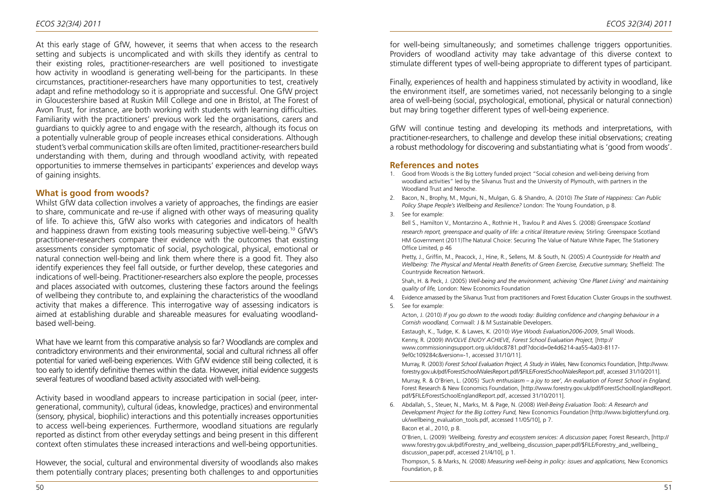At this early stage of GfW, however, it seems that when access to the research setting and subjects is uncomplicated and with skills they identify as central to their existing roles, practitioner-researchers are well positioned to investigate how activity in woodland is generating well-being for the participants. In these circumstances, practitioner-researchers have many opportunities to test, creatively adapt and refine methodology so it is appropriate and successful. One GfW project in Gloucestershire based at Ruskin Mill College and one in Bristol, at The Forest of Avon Trust, for instance, are both working with students with learning difficulties. Familiarity with the practitioners' previous work led the organisations, carers and guardians to quickly agree to and engage with the research, although its focus on a potentially vulnerable group of people increases ethical considerations. Although student's verbal communication skills are often limited, practitioner-researchers build understanding with them, during and through woodland activity, with repeated opportunities to immerse themselves in participants' experiences and develop ways of gaining insights.

## **What is good from woods?**

Whilst GfW data collection involves a variety of approaches, the findings are easier to share, communicate and re-use if aligned with other ways of measuring quality of life. To achieve this, GfW also works with categories and indicators of health and happiness drawn from existing tools measuring subjective well-being.10 GfW's practitioner-researchers compare their evidence with the outcomes that existing assessments consider symptomatic of social, psychological, physical, emotional or natural connection well-being and link them where there is a good fit. They also identify experiences they feel fall outside, or further develop, these categories and indications of well-being. Practitioner-researchers also explore the people, processes and places associated with outcomes, clustering these factors around the feelings of wellbeing they contribute to, and explaining the characteristics of the woodland activity that makes a difference. This interrogative way of assessing indicators is aimed at establishing durable and shareable measures for evaluating woodlandbased well-being.

What have we learnt from this comparative analysis so far? Woodlands are complex and contradictory environments and their environmental, social and cultural richness all offer potential for varied well-being experiences. With GfW evidence still being collected, it is too early to identify definitive themes within the data. However, initial evidence suggests several features of woodland based activity associated with well-being.

Activity based in woodland appears to increase participation in social (peer, intergenerational, community), cultural (ideas, knowledge, practices) and environmental (sensory, physical, biophilic) interactions and this potentially increases opportunities to access well-being experiences. Furthermore, woodland situations are regularly reported as distinct from other everyday settings and being present in this different context often stimulates these increased interactions and well-being opportunities.

However, the social, cultural and environmental diversity of woodlands also makes them potentially contrary places; presenting both challenges to and opportunities

for well-being simultaneously; and sometimes challenge triggers opportunities. Providers of woodland activity may take advantage of this diverse context to stimulate different types of well-being appropriate to different types of participant.

Finally, experiences of health and happiness stimulated by activity in woodland, like the environment itself, are sometimes varied, not necessarily belonging to a single area of well-being (social, psychological, emotional, physical or natural connection) but may bring together different types of well-being experience.

GfW will continue testing and developing its methods and interpretations, with practitioner-researchers, to challenge and develop these initial observations; creating a robust methodology for discovering and substantiating what is 'good from woods'.

#### **References and notes**

- 1. Good from Woods is the Big Lottery funded project "Social cohesion and well-being deriving from woodland activities" led by the Silvanus Trust and the University of Plymouth, with partners in the Woodland Trust and Neroche.
- 2. Bacon, N., Brophy, M., Mguni, N., Mulgan, G. & Shandro, A. (2010) *The State of Happiness: Can Public Policy Shape People's Wellbeing and Resilience?* London: The Young Foundation, p 8.
- 3. See for example:

Bell S., Hamilton V., Montarzino A., Rothnie H., Travlou P. and Alves S. (2008) *Greenspace Scotland research report, greenspace and quality of life: a critical literature review,* Stirling: Greenspace Scotland HM Government (2011)The Natural Choice: Securing The Value of Nature White Paper, The Stationery Office Limited, p 46

Pretty, J., Griffin, M., Peacock, J., Hine, R., Sellens, M. & South, N. (2005) *A Countryside for Health and Wellbeing: The Physical and Mental Health Benefits of Green Exercise, Executive summary,* Sheffield: The Countryside Recreation Network.

Shah, H. & Peck, J. (2005) *Well-being and the environment, achieving 'One Planet Living' and maintaining quality of life,* London: New Economics Foundation

- 4. Evidence amassed by the Silvanus Trust from practitioners and Forest Education Cluster Groups in the southwest.
- 5. See for example:

Acton, J. (2010) *If you go down to the woods today: Building confidence and changing behaviour in a Cornish woodland,* Cornwall: J & M Sustainable Developers.

Eastaugh, K., Tudge, K. & Lawes, K. (2010) *Wye Woods Evaluation2006-2009*, Small Woods. Kenny, R. (2009) *INVOLVE ENJOY ACHIEVE, Forest School Evaluation Project,* [http:// www.commissioningsupport.org.uk/idoc8781.pdf?docid=0e4d6214-aa55-4a03-8117- 9ef0c109284c&version=-1, accessed 31/10/11].

Murray, R. (2003) *Forest School Evaluation Project, A Study in Wales,* New Economics Foundation, [http://www. forestry.gov.uk/pdf/ForestSchoolWalesReport.pdf/\$FILE/ForestSchoolWalesReport.pdf, accessed 31/10/2011]. Murray, R. & O'Brien, L. (2005) *'Such enthusiasm – a joy to see', An evaluation of Forest School in England,*  Forest Research & New Economics Foundation, [http://www.forestry.gov.uk/pdf/ForestSchoolEnglandReport. pdf/\$FILE/ForestSchoolEnglandReport.pdf, accessed 31/10/2011].

6. Abdallah, S., Steuer, N., Marks, M. & Page, N. (2008) *Well-Being Evaluation Tools: A Research and Development Project for the Big Lottery Fund,* New Economics Foundation [http://www.biglotteryfund.org. uk/wellbeing\_evaluation\_tools.pdf, accessed 11/05/10], p 7.

Bacon et al., 2010, p 8.

O'Brien, L. (2009) *'Wellbeing, forestry and ecosystem services: A discussion paper,* Forest Research, [http:// www.forestry.gov.uk/pdf/Forestry\_and\_wellbeing\_discussion\_paper.pdf/\$FILE/Forestry\_and\_wellbeing discussion\_paper.pdf, accessed 21/4/10], p 1.

Thompson, S. & Marks, N. (2008) *Measuring well-being in policy: issues and applications,* New Economics Foundation, p 8.